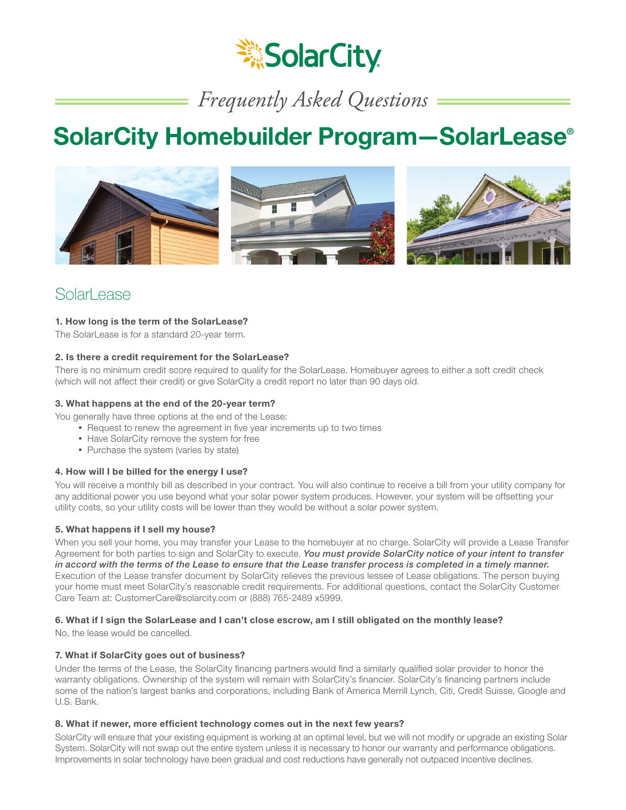# *<b>SolarCity*

*Frequently Asked Questions*

# SolarCity Homebuilder Program-SolarLease®



## Solarl ease

#### 1. How long is the term of the SolarLease?

The SolarLease is for a standard 20-year term.

#### 2. Is there a credit requirement for the SolarLease?

There is no minimum credit score required to qualify for the SolarLease. Homebuyer agrees to either a soft credit check (which will not affect their credit) or give SolarCity a credit report no later than 90 days old.

#### 3. What happens at the end of the 20-year term?

You generally have three options at the end of the Lease:

- Request to renew the agreement in five year increments up to two times
- Have SolarCity remove the system for free
- Purchase the system (varies by state)

#### 4. How will I be billed for the energy I use?

You will receive a monthly bill as described in your contract. You will also continue to receive a bill from your utility company for any additional power you use beyond what your solar power system produces. However, your system will be offsetting your utility costs, so your utility costs will be lower than they would be without a solar power system.

#### 5. What happens if I sell my house?

When you sell your home, you may transfer your Lease to the homebuyer at no charge. SolarCity will provide a Lease Transfer Agreement for both parties to sign and SolarCity to execute. *You must provide SolarCity notice of your intent to transfer in accord with the terms of the Lease to ensure that the Lease transfer process is completed in a timely manner.* Execution of the Lease transfer document by SolarCity relieves the previous lessee of Lease obligations. The person buying your home must meet SolarCity's reasonable credit requirements. For additional questions, contact the SolarCity Customer Care Team at: CustomerCare@solarcity.com or (888) 765-2489 x5999.

#### 6. What if I sign the SolarLease and I can't close escrow, am I still obligated on the monthly lease?

No, the lease would be cancelled.

#### 7. What if SolarCity goes out of business?

Under the terms of the Lease, the SolarCity financing partners would find a similarly qualified solar provider to honor the warranty obligations. Ownership of the system will remain with SolarCity's financier. SolarCity's financing partners include some of the nation's largest banks and corporations, including Bank of America Merrill Lynch, Citi, Credit Suisse, Google and U.S. Bank.

#### 8. What if newer, more efficient technology comes out in the next few years?

SolarCity will ensure that your existing equipment is working at an optimal level, but we will not modify or upgrade an existing Solar System. SolarCity will not swap out the entire system unless it is necessary to honor our warranty and performance obligations. Improvements in solar technology have been gradual and cost reductions have generally not outpaced incentive declines.